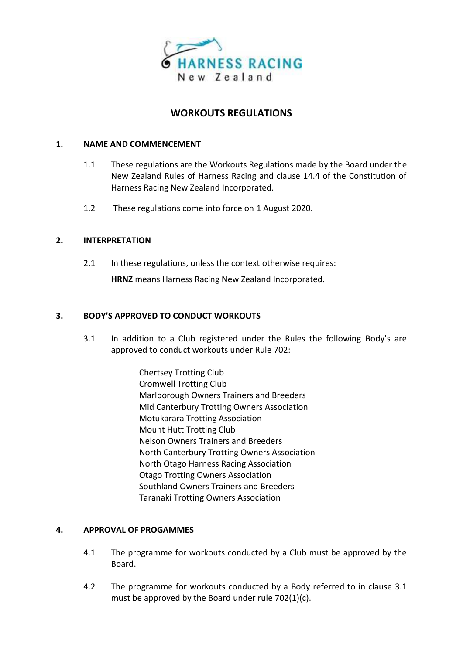

# **WORKOUTS REGULATIONS**

### **1. NAME AND COMMENCEMENT**

- 1.1 These regulations are the Workouts Regulations made by the Board under the New Zealand Rules of Harness Racing and clause 14.4 of the Constitution of Harness Racing New Zealand Incorporated.
- 1.2 These regulations come into force on 1 August 2020.

# **2. INTERPRETATION**

2.1 In these regulations, unless the context otherwise requires:

**HRNZ** means Harness Racing New Zealand Incorporated.

# **3. BODY'S APPROVED TO CONDUCT WORKOUTS**

- 3.1 In addition to a Club registered under the Rules the following Body's are approved to conduct workouts under Rule 702:
	- Chertsey Trotting Club Cromwell Trotting Club Marlborough Owners Trainers and Breeders Mid Canterbury Trotting Owners Association Motukarara Trotting Association Mount Hutt Trotting Club Nelson Owners Trainers and Breeders North Canterbury Trotting Owners Association North Otago Harness Racing Association Otago Trotting Owners Association Southland Owners Trainers and Breeders Taranaki Trotting Owners Association

#### **4. APPROVAL OF PROGAMMES**

- 4.1 The programme for workouts conducted by a Club must be approved by the Board.
- 4.2 The programme for workouts conducted by a Body referred to in clause 3.1 must be approved by the Board under rule 702(1)(c).